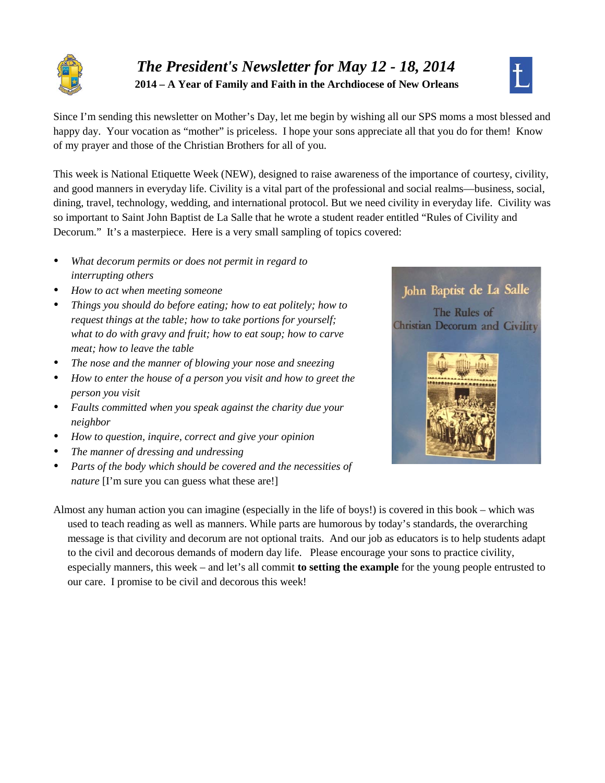

# *The President's Newsletter for May 12 - 18, 2014* **2014 – A Year of Family and Faith in the Archdiocese of New Orleans**



Since I'm sending this newsletter on Mother's Day, let me begin by wishing all our SPS moms a most blessed and happy day. Your vocation as "mother" is priceless. I hope your sons appreciate all that you do for them! Know of my prayer and those of the Christian Brothers for all of you.

This week is National Etiquette Week (NEW), designed to raise awareness of the importance of courtesy, civility, and good manners in everyday life. Civility is a vital part of the professional and social realms—business, social, dining, travel, technology, wedding, and international protocol. But we need civility in everyday life. Civility was so important to Saint John Baptist de La Salle that he wrote a student reader entitled "Rules of Civility and Decorum." It's a masterpiece. Here is a very small sampling of topics covered:

- *What decorum permits or does not permit in regard to interrupting others*
- *How to act when meeting someone*
- *Things you should do before eating; how to eat politely; how to request things at the table; how to take portions for yourself; what to do with gravy and fruit; how to eat soup; how to carve meat; how to leave the table*
- *The nose and the manner of blowing your nose and sneezing*
- *How to enter the house of a person you visit and how to greet the person you visit*
- *Faults committed when you speak against the charity due your neighbor*
- *How to question, inquire, correct and give your opinion*
- *The manner of dressing and undressing*
- *Parts of the body which should be covered and the necessities of nature* [I'm sure you can guess what these are!]



The Rules of **Christian Decorum and Civility** 



Almost any human action you can imagine (especially in the life of boys!) is covered in this book – which was used to teach reading as well as manners. While parts are humorous by today's standards, the overarching message is that civility and decorum are not optional traits. And our job as educators is to help students adapt to the civil and decorous demands of modern day life. Please encourage your sons to practice civility, especially manners, this week – and let's all commit **to setting the example** for the young people entrusted to our care. I promise to be civil and decorous this week!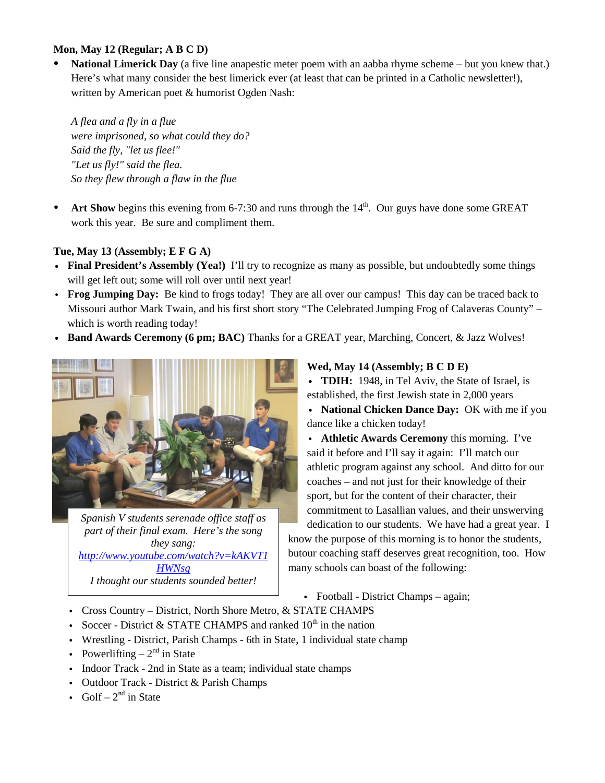#### **Mon, May 12 (Regular; A B C D)**

 **National Limerick Day** (a five line anapestic meter poem with an aabba rhyme scheme – but you knew that.) Here's what many consider the best limerick ever (at least that can be printed in a Catholic newsletter!), written by American poet & humorist Ogden Nash:

*A flea and a fly in a flue were imprisoned, so what could they do? Said the fly, "let us flee!" "Let us fly!" said the flea. So they flew through a flaw in the flue*

Art Show begins this evening from  $6-7:30$  and runs through the  $14<sup>th</sup>$ . Our guys have done some GREAT work this year. Be sure and compliment them.

#### **Tue, May 13 (Assembly; E F G A)**

- **Final President's Assembly (Yea!)** I'll try to recognize as many as possible, but undoubtedly some things will get left out; some will roll over until next year!
- v **Frog Jumping Day:** Be kind to frogs today! They are all over our campus! This day can be traced back to Missouri author Mark Twain, and his first short story "The Celebrated Jumping Frog of Calaveras County" – which is worth reading today!
- v **Band Awards Ceremony (6 pm; BAC)** Thanks for a GREAT year, Marching, Concert, & Jazz Wolves!



*Spanish V students serenade office staff as part of their final exam. Here's the song they sang: [http://www.youtube.com/watch?v=kAKVT1](http://www.youtube.com/watch?v=kAKVT1HWNsg) [HWNsg](http://www.youtube.com/watch?v=kAKVT1HWNsg) I thought our students sounded better!*

#### **Wed, May 14 (Assembly; B C D E)**

• **TDIH:** 1948, in Tel Aviv, the State of Israel, is established, the first Jewish state in 2,000 years

• National Chicken Dance Day: OK with me if you dance like a chicken today!

• **Athletic Awards Ceremony** this morning. I've said it before and I'll say it again: I'll match our athletic program against any school. And ditto for our coaches – and not just for their knowledge of their sport, but for the content of their character, their commitment to Lasallian values, and their unswerving dedication to our students. We have had a great year. I

know the purpose of this morning is to honor the students, butour coaching staff deserves great recognition, too. How many schools can boast of the following:

- Football District Champs again;
- Cross Country District, North Shore Metro, & STATE CHAMPS
- Soccer District & STATE CHAMPS and ranked  $10^{th}$  in the nation
- v Wrestling District, Parish Champs 6th in State, 1 individual state champ
- Powerlifting  $-2<sup>nd</sup>$  in State
- Indoor Track 2nd in State as a team; individual state champs
- Outdoor Track District & Parish Champs
- Golf  $2^{nd}$  in State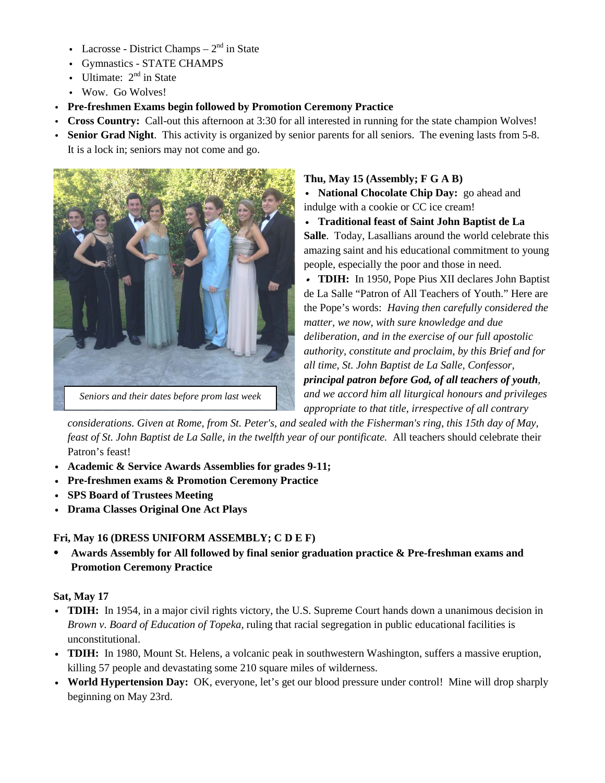- Lacrosse District Champs  $2<sup>nd</sup>$  in State
- Gymnastics STATE CHAMPS
- Ultimate:  $2<sup>nd</sup>$  in State
- Wow. Go Wolves!
- v **Pre-freshmen Exams begin followed by Promotion Ceremony Practice**
- v **Cross Country:** Call-out this afternoon at 3:30 for all interested in running for the state champion Wolves!
- v **Senior Grad Night**. This activity is organized by senior parents for all seniors. The evening lasts from 5-8. It is a lock in; seniors may not come and go.



### **Thu, May 15 (Assembly; F G A B)**

v **National Chocolate Chip Day:** go ahead and indulge with a cookie or CC ice cream!

v **Traditional feast of Saint John Baptist de La Salle**. Today, Lasallians around the world celebrate this amazing saint and his educational commitment to young people, especially the poor and those in need.

v **TDIH:** In 1950, Pope Pius XII declares John Baptist de La Salle "Patron of All Teachers of Youth." Here are the Pope's words: *Having then carefully considered the matter, we now, with sure knowledge and due deliberation, and in the exercise of our full apostolic authority, constitute and proclaim, by this Brief and for all time, St. John Baptist de La Salle, Confessor, principal patron before God, of all teachers of youth, and we accord him all liturgical honours and privileges appropriate to that title, irrespective of all contrary* 

*considerations. Given at Rome, from St. Peter's, and sealed with the Fisherman's ring, this 15th day of May, feast of St. John Baptist de La Salle, in the twelfth year of our pontificate.* All teachers should celebrate their Patron's feast!

- v **Academic & Service Awards Assemblies for grades 9-11;**
- v **Pre-freshmen exams & Promotion Ceremony Practice**
- v **SPS Board of Trustees Meeting**
- v **Drama Classes Original One Act Plays**

#### **Fri, May 16 (DRESS UNIFORM ASSEMBLY; C D E F)**

 **Awards Assembly for All followed by final senior graduation practice & Pre-freshman exams and Promotion Ceremony Practice**

#### **Sat, May 17**

- v **TDIH:** In 1954, in a major civil rights victory, the U.S. Supreme Court hands down a unanimous decision in *Brown v. Board of Education of Topeka,* ruling that racial segregation in public educational facilities is unconstitutional.
- v **TDIH:** In 1980, Mount St. Helens, a volcanic peak in southwestern Washington, suffers a massive eruption, killing 57 people and devastating some 210 square miles of wilderness.
- v **World Hypertension Day:** OK, everyone, let's get our blood pressure under control! Mine will drop sharply beginning on May 23rd.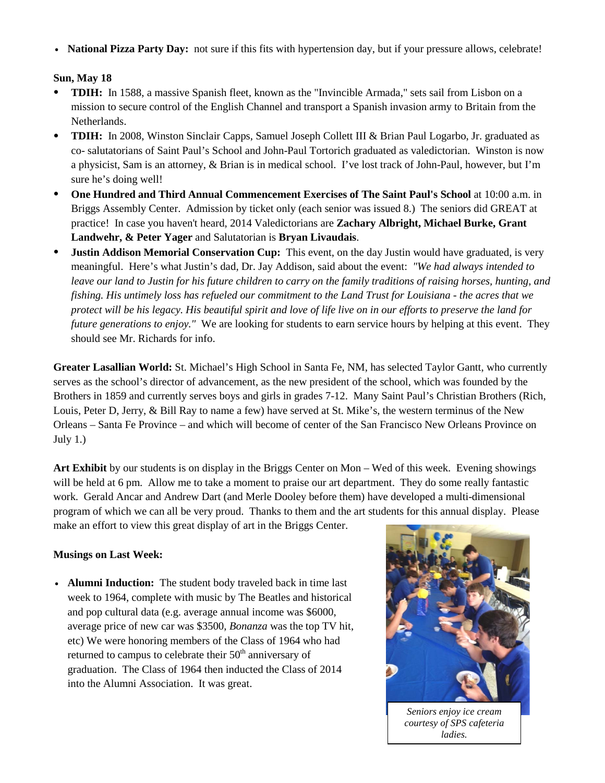• **National Pizza Party Day:** not sure if this fits with hypertension day, but if your pressure allows, celebrate!

### **Sun, May 18**

- **TDIH:** In 1588, a massive Spanish fleet, known as the "Invincible Armada," sets sail from Lisbon on a mission to secure control of the English Channel and transport a Spanish invasion army to Britain from the Netherlands.
- **TDIH:** In 2008, Winston Sinclair Capps, Samuel Joseph Collett III & Brian Paul Logarbo, Jr. graduated as co- salutatorians of Saint Paul's School and John-Paul Tortorich graduated as valedictorian. Winston is now a physicist, Sam is an attorney, & Brian is in medical school. I've lost track of John-Paul, however, but I'm sure he's doing well!
- **One Hundred and Third Annual Commencement Exercises of The Saint Paul's School** at 10:00 a.m. in Briggs Assembly Center.Admission by ticket only (each senior was issued 8.) The seniors did GREAT at practice! In case you haven't heard, 2014 Valedictorians are **Zachary Albright, Michael Burke, Grant Landwehr, & Peter Yager** and Salutatorian is **Bryan Livaudais**.
- **Justin Addison Memorial Conservation Cup:** This event, on the day Justin would have graduated, is very meaningful. Here's what Justin's dad, Dr. Jay Addison, said about the event: *"We had always intended to leave our land to Justin for his future children to carry on the family traditions of raising horses, hunting, and fishing. His untimely loss has refueled our commitment to the Land Trust for Louisiana - the acres that we protect will be his legacy. His beautiful spirit and love of life live on in our efforts to preserve the land for future generations to enjoy.*" We are looking for students to earn service hours by helping at this event. They should see Mr. Richards for info.

**Greater Lasallian World:** St. Michael's High School in Santa Fe, NM, has selected Taylor Gantt, who currently serves as the school's director of advancement, as the new president of the school, which was founded by the Brothers in 1859 and currently serves boys and girls in grades 7-12. Many Saint Paul's Christian Brothers (Rich, Louis, Peter D, Jerry, & Bill Ray to name a few) have served at St. Mike's, the western terminus of the New Orleans – Santa Fe Province – and which will become of center of the San Francisco New Orleans Province on July  $1$ .)

**Art Exhibit** by our students is on display in the Briggs Center on Mon – Wed of this week. Evening showings will be held at 6 pm. Allow me to take a moment to praise our art department. They do some really fantastic work. Gerald Ancar and Andrew Dart (and Merle Dooley before them) have developed a multi-dimensional program of which we can all be very proud. Thanks to them and the art students for this annual display. Please make an effort to view this great display of art in the Briggs Center.

#### **Musings on Last Week:**

• **Alumni Induction:** The student body traveled back in time last week to 1964, complete with music by The Beatles and historical and pop cultural data (e.g. average annual income was \$6000, average price of new car was \$3500, *Bonanza* was the top TV hit, etc) We were honoring members of the Class of 1964 who had returned to campus to celebrate their 50<sup>th</sup> anniversary of graduation. The Class of 1964 then inducted the Class of 2014 into the Alumni Association. It was great.



*Seniors enjoy ice cream courtesy of SPS cafeteria ladies.*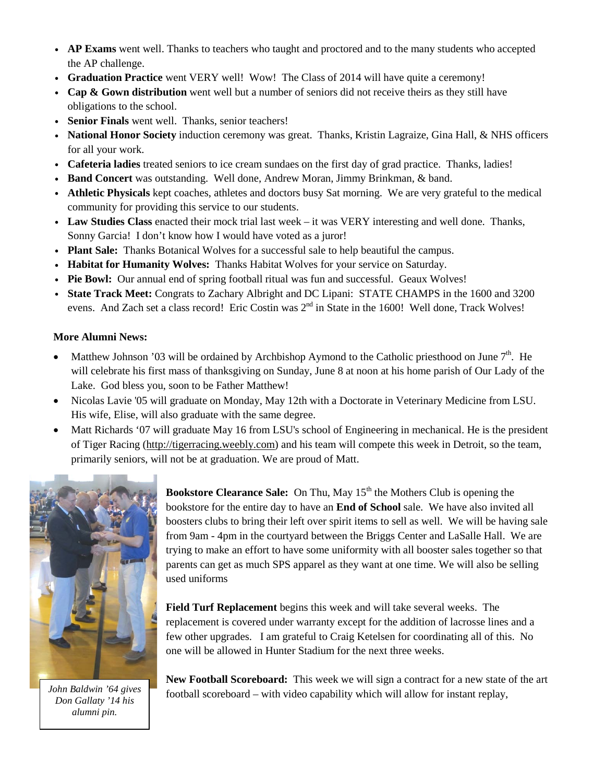- AP Exams went well. Thanks to teachers who taught and proctored and to the many students who accepted the AP challenge.
- v **Graduation Practice** went VERY well! Wow! The Class of 2014 will have quite a ceremony!
- Cap & Gown distribution went well but a number of seniors did not receive theirs as they still have obligations to the school.
- Senior Finals went well. Thanks, senior teachers!
- v **National Honor Society** induction ceremony was great. Thanks, Kristin Lagraize, Gina Hall, & NHS officers for all your work.
- v **Cafeteria ladies** treated seniors to ice cream sundaes on the first day of grad practice. Thanks, ladies!
- v **Band Concert** was outstanding. Well done, Andrew Moran, Jimmy Brinkman, & band.
- v **Athletic Physicals** kept coaches, athletes and doctors busy Sat morning. We are very grateful to the medical community for providing this service to our students.
- v **Law Studies Class** enacted their mock trial last week it was VERY interesting and well done. Thanks, Sonny Garcia! I don't know how I would have voted as a juror!
- v **Plant Sale:** Thanks Botanical Wolves for a successful sale to help beautiful the campus.
- v **Habitat for Humanity Wolves:** Thanks Habitat Wolves for your service on Saturday.
- v **Pie Bowl:** Our annual end of spring football ritual was fun and successful. Geaux Wolves!
- v **State Track Meet:** Congrats to Zachary Albright and DC Lipani: STATE CHAMPS in the 1600 and 3200 evens. And Zach set a class record! Eric Costin was  $2<sup>nd</sup>$  in State in the 1600! Well done, Track Wolves!

#### **More Alumni News:**

- Matthew Johnson '03 will be ordained by Archbishop Aymond to the Catholic priesthood on June  $7<sup>th</sup>$ . He will celebrate his first mass of thanksgiving on Sunday, June 8 at noon at his home parish of Our Lady of the Lake. God bless you, soon to be Father Matthew!
- Nicolas Lavie '05 will graduate on Monday, May 12th with a Doctorate in Veterinary Medicine from LSU. His wife, Elise, will also graduate with the same degree.
- Matt Richards '07 will graduate May 16 from LSU's school of Engineering in mechanical. He is the president of Tiger Racing [\(http://tigerracing.weebly.com\)](http://tigerracing.weebly.com/) and his team will compete this week in Detroit, so the team, primarily seniors, will not be at graduation. We are proud of Matt.



*Don Gallaty '14 his alumni pin.*

**Bookstore Clearance Sale:** On Thu, May 15<sup>th</sup> the Mothers Club is opening the bookstore for the entire day to have an **End of School** sale. We have also invited all boosters clubs to bring their left over spirit items to sell as well. We will be having sale from 9am - 4pm in the courtyard between the Briggs Center and LaSalle Hall. We are trying to make an effort to have some uniformity with all booster sales together so that parents can get as much SPS apparel as they want at one time. We will also be selling used uniforms

**Field Turf Replacement** begins this week and will take several weeks. The replacement is covered under warranty except for the addition of lacrosse lines and a few other upgrades. I am grateful to Craig Ketelsen for coordinating all of this. No one will be allowed in Hunter Stadium for the next three weeks.

**New Football Scoreboard:** This week we will sign a contract for a new state of the art football scoreboard – with video capability which will allow for instant replay, *John Baldwin '64 gives*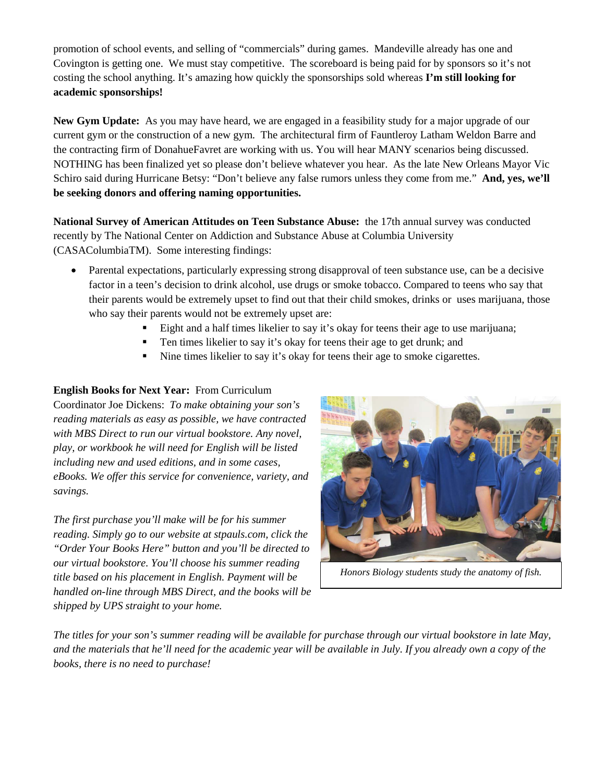promotion of school events, and selling of "commercials" during games. Mandeville already has one and Covington is getting one. We must stay competitive. The scoreboard is being paid for by sponsors so it's not costing the school anything. It's amazing how quickly the sponsorships sold whereas **I'm still looking for academic sponsorships!**

**New Gym Update:** As you may have heard, we are engaged in a feasibility study for a major upgrade of our current gym or the construction of a new gym. The architectural firm of Fauntleroy Latham Weldon Barre and the contracting firm of DonahueFavret are working with us. You will hear MANY scenarios being discussed. NOTHING has been finalized yet so please don't believe whatever you hear. As the late New Orleans Mayor Vic Schiro said during Hurricane Betsy: "Don't believe any false rumors unless they come from me." **And, yes, we'll be seeking donors and offering naming opportunities.** 

**National Survey of American Attitudes on Teen Substance Abuse:** the 17th annual survey was conducted recently by The National Center on Addiction and Substance Abuse at Columbia University (CASAColumbiaTM). Some interesting findings:

- Parental expectations, particularly expressing strong disapproval of teen substance use, can be a decisive factor in a teen's decision to drink alcohol, use drugs or smoke tobacco. Compared to teens who say that their parents would be extremely upset to find out that their child smokes, drinks or uses marijuana, those who say their parents would not be extremely upset are:
	- Eight and a half times likelier to say it's okay for teens their age to use marijuana;
	- Ten times likelier to say it's okay for teens their age to get drunk; and
	- Nine times likelier to say it's okay for teens their age to smoke cigarettes.

# **English Books for Next Year:** From Curriculum

Coordinator Joe Dickens: *To make obtaining your son's reading materials as easy as possible, we have contracted with MBS Direct to run our virtual bookstore. Any novel, play, or workbook he will need for English will be listed including new and used editions, and in some cases, eBooks. We offer this service for convenience, variety, and savings.*

*The first purchase you'll make will be for his summer reading. Simply go to our website at stpauls.com, click the "Order Your Books Here" button and you'll be directed to our virtual bookstore. You'll choose his summer reading title based on his placement in English. Payment will be handled on-line through MBS Direct, and the books will be shipped by UPS straight to your home.*



*Honors Biology students study the anatomy of fish.*

*The titles for your son's summer reading will be available for purchase through our virtual bookstore in late May, and the materials that he'll need for the academic year will be available in July. If you already own a copy of the books, there is no need to purchase!*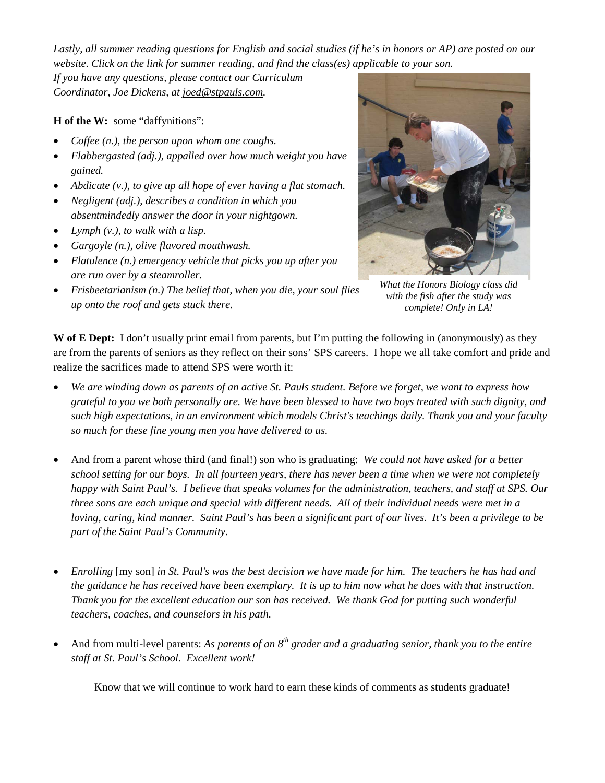*Lastly, all summer reading questions for English and social studies (if he's in honors or AP) are posted on our website. Click on the link for summer reading, and find the class(es) applicable to your son.*

*If you have any questions, please contact our Curriculum Coordinator, Joe Dickens, at [joed@stpauls.com.](mailto:joed@stpauls.com)*

**H of the W:** some "daffynitions":

- *Coffee (n.), the person upon whom one coughs.*
- *Flabbergasted (adj.), appalled over how much weight you have gained.*
- *Abdicate (v.), to give up all hope of ever having a flat stomach.*
- *Negligent (adj.), describes a condition in which you absentmindedly answer the door in your nightgown.*
- *Lymph (v.), to walk with a lisp.*
- *Gargoyle (n.), olive flavored mouthwash.*
- *Flatulence (n.) emergency vehicle that picks you up after you are run over by a steamroller.*
- *Frisbeetarianism (n.) The belief that, when you die, your soul flies up onto the roof and gets stuck there.*



*What the Honors Biology class did with the fish after the study was complete! Only in LA!*

**W of E Dept:** I don't usually print email from parents, but I'm putting the following in (anonymously) as they are from the parents of seniors as they reflect on their sons' SPS careers. I hope we all take comfort and pride and realize the sacrifices made to attend SPS were worth it:

- *We are winding down as parents of an active St. Pauls student. Before we forget, we want to express how grateful to you we both personally are. We have been blessed to have two boys treated with such dignity, and such high expectations, in an environment which models Christ's teachings daily. Thank you and your faculty so much for these fine young men you have delivered to us.*
- And from a parent whose third (and final!) son who is graduating: *We could not have asked for a better school setting for our boys. In all fourteen years, there has never been a time when we were not completely happy with Saint Paul's. I believe that speaks volumes for the administration, teachers, and staff at SPS. Our three sons are each unique and special with different needs. All of their individual needs were met in a loving, caring, kind manner. Saint Paul's has been a significant part of our lives. It's been a privilege to be part of the Saint Paul's Community.*
- *Enrolling* [my son] *in St. Paul's was the best decision we have made for him. The teachers he has had and the guidance he has received have been exemplary. It is up to him now what he does with that instruction. Thank you for the excellent education our son has received. We thank God for putting such wonderful teachers, coaches, and counselors in his path.*
- And from multi-level parents: *As parents of an 8th grader and a graduating senior, thank you to the entire staff at St. Paul's School. Excellent work!*

Know that we will continue to work hard to earn these kinds of comments as students graduate!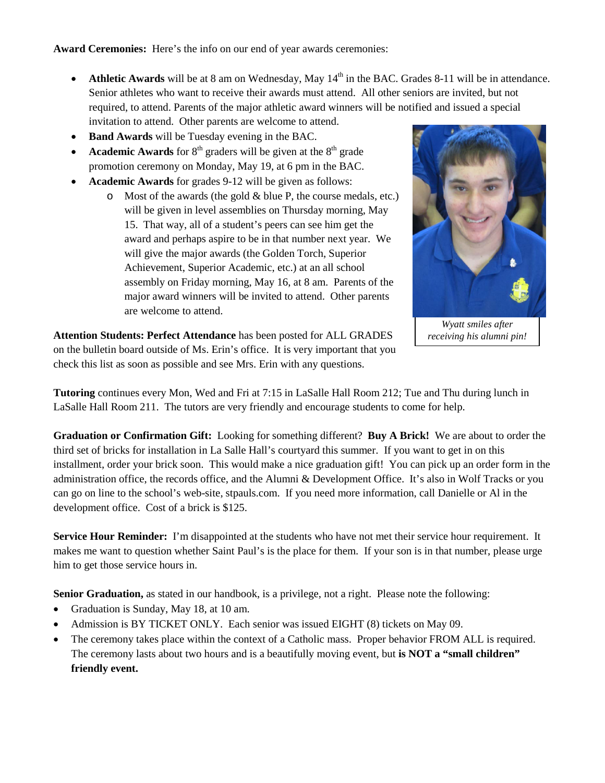**Award Ceremonies:** Here's the info on our end of year awards ceremonies:

- Athletic Awards will be at 8 am on Wednesday, May 14<sup>th</sup> in the BAC. Grades 8-11 will be in attendance. Senior athletes who want to receive their awards must attend. All other seniors are invited, but not required, to attend. Parents of the major athletic award winners will be notified and issued a special invitation to attend. Other parents are welcome to attend.
- **Band Awards** will be Tuesday evening in the BAC.
- **Academic Awards** for  $8<sup>th</sup>$  graders will be given at the  $8<sup>th</sup>$  grade promotion ceremony on Monday, May 19, at 6 pm in the BAC.
- **Academic Awards** for grades 9-12 will be given as follows:
	- $\circ$  Most of the awards (the gold & blue P, the course medals, etc.) will be given in level assemblies on Thursday morning, May 15. That way, all of a student's peers can see him get the award and perhaps aspire to be in that number next year. We will give the major awards (the Golden Torch, Superior Achievement, Superior Academic, etc.) at an all school assembly on Friday morning, May 16, at 8 am. Parents of the major award winners will be invited to attend. Other parents are welcome to attend.



*Wyatt smiles after receiving his alumni pin!*

**Attention Students: Perfect Attendance** has been posted for ALL GRADES on the bulletin board outside of Ms. Erin's office. It is very important that you check this list as soon as possible and see Mrs. Erin with any questions.

**Tutoring** continues every Mon, Wed and Fri at 7:15 in LaSalle Hall Room 212; Tue and Thu during lunch in LaSalle Hall Room 211. The tutors are very friendly and encourage students to come for help.

**Graduation or Confirmation Gift:** Looking for something different? **Buy A Brick!** We are about to order the third set of bricks for installation in La Salle Hall's courtyard this summer. If you want to get in on this installment, order your brick soon. This would make a nice graduation gift! You can pick up an order form in the administration office, the records office, and the Alumni & Development Office. It's also in Wolf Tracks or you can go on line to the school's web-site, stpauls.com. If you need more information, call Danielle or Al in the development office. Cost of a brick is \$125.

**Service Hour Reminder:** I'm disappointed at the students who have not met their service hour requirement. It makes me want to question whether Saint Paul's is the place for them. If your son is in that number, please urge him to get those service hours in.

**Senior Graduation,** as stated in our handbook, is a privilege, not a right. Please note the following:

- Graduation is Sunday, May 18, at 10 am.
- Admission is BY TICKET ONLY. Each senior was issued EIGHT (8) tickets on May 09.
- The ceremony takes place within the context of a Catholic mass. Proper behavior FROM ALL is required. The ceremony lasts about two hours and is a beautifully moving event, but **is NOT a "small children" friendly event.**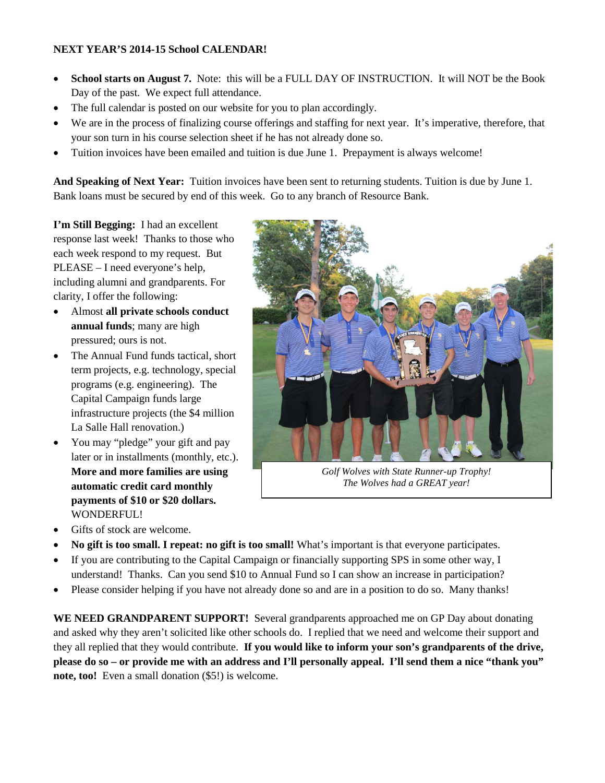#### **NEXT YEAR'S 2014-15 School CALENDAR!**

- **School starts on August 7.** Note: this will be a FULL DAY OF INSTRUCTION. It will NOT be the Book Day of the past. We expect full attendance.
- The full calendar is posted on our website for you to plan accordingly.
- We are in the process of finalizing course offerings and staffing for next year. It's imperative, therefore, that your son turn in his course selection sheet if he has not already done so.
- Tuition invoices have been emailed and tuition is due June 1. Prepayment is always welcome!

**And Speaking of Next Year:** Tuition invoices have been sent to returning students. Tuition is due by June 1. Bank loans must be secured by end of this week. Go to any branch of Resource Bank.

**I'm Still Begging:** I had an excellent response last week! Thanks to those who each week respond to my request. But PLEASE – I need everyone's help, including alumni and grandparents. For clarity, I offer the following:

- Almost **all private schools conduct annual funds**; many are high pressured; ours is not.
- The Annual Fund funds tactical, short term projects, e.g. technology, special programs (e.g. engineering). The Capital Campaign funds large infrastructure projects (the \$4 million La Salle Hall renovation.)
- You may "pledge" your gift and pay later or in installments (monthly, etc.). **More and more families are using automatic credit card monthly payments of \$10 or \$20 dollars.** WONDERFUL!
- Gifts of stock are welcome.



*Golf Wolves with State Runner-up Trophy! The Wolves had a GREAT year!*

- **No gift is too small. I repeat: no gift is too small!** What's important is that everyone participates.
- If you are contributing to the Capital Campaign or financially supporting SPS in some other way, I understand! Thanks. Can you send \$10 to Annual Fund so I can show an increase in participation?
- Please consider helping if you have not already done so and are in a position to do so. Many thanks!

**WE NEED GRANDPARENT SUPPORT!** Several grandparents approached me on GP Day about donating and asked why they aren't solicited like other schools do. I replied that we need and welcome their support and they all replied that they would contribute. **If you would like to inform your son's grandparents of the drive, please do so – or provide me with an address and I'll personally appeal. I'll send them a nice "thank you" note, too!** Even a small donation (\$5!) is welcome.